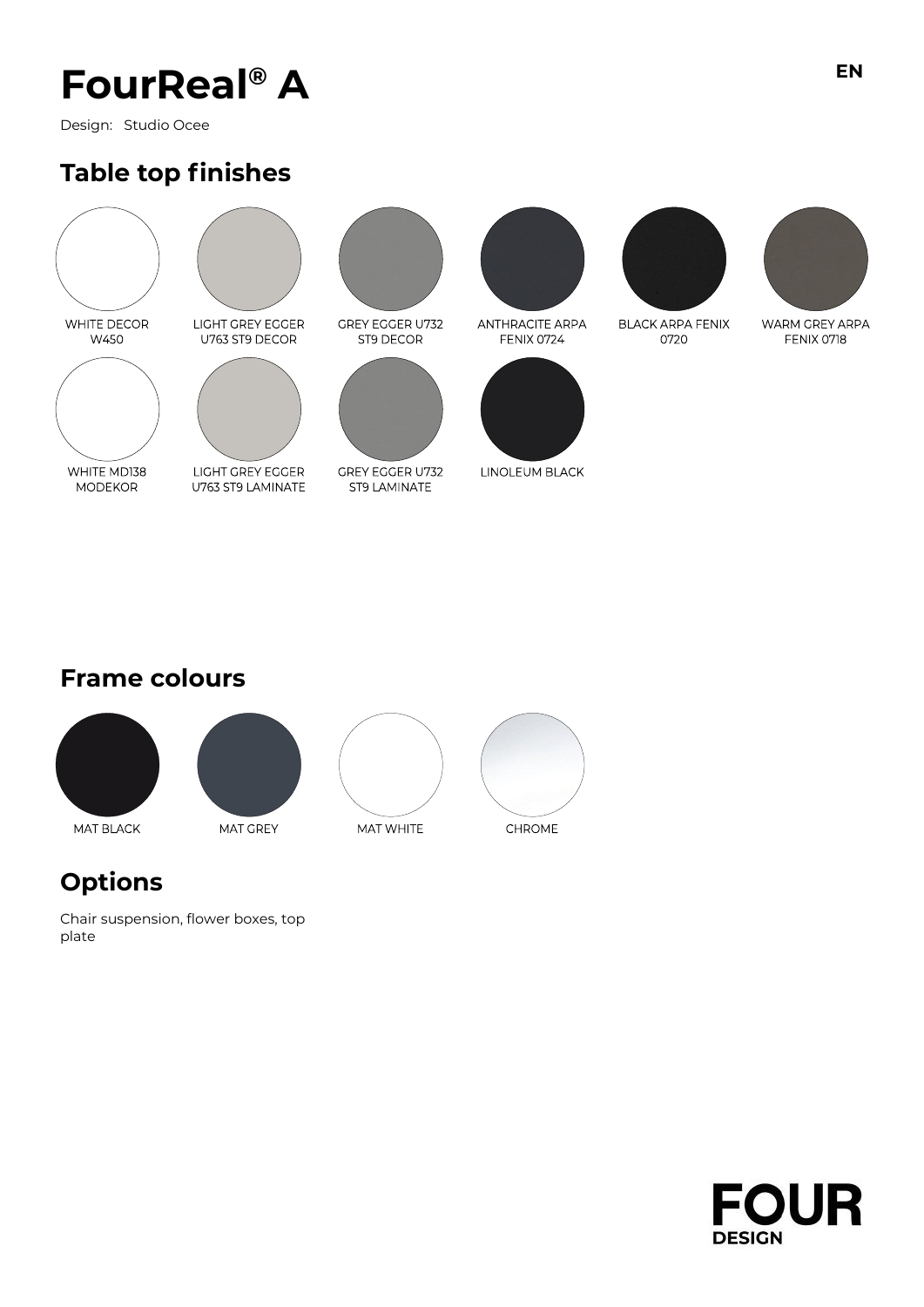# **FourReal® A**

Design: Studio Ocee

### **Table top finishes**



WHITE MD138

**MODEKOR** 





LIGHT GREY EGGER U763 ST9 LAMINATE



ST9 DECOR



**GREY EGGER U732** ST9 LAMINATE



**ANTHRACITE ARPA** FENIX 0724



LINOLEUM BLACK



0720

**BLACK ARPA FENIX** 

WARM GREY ARPA FENIX 0718

### **Frame colours**



### **Options**

Chair suspension, flower boxes, top plate

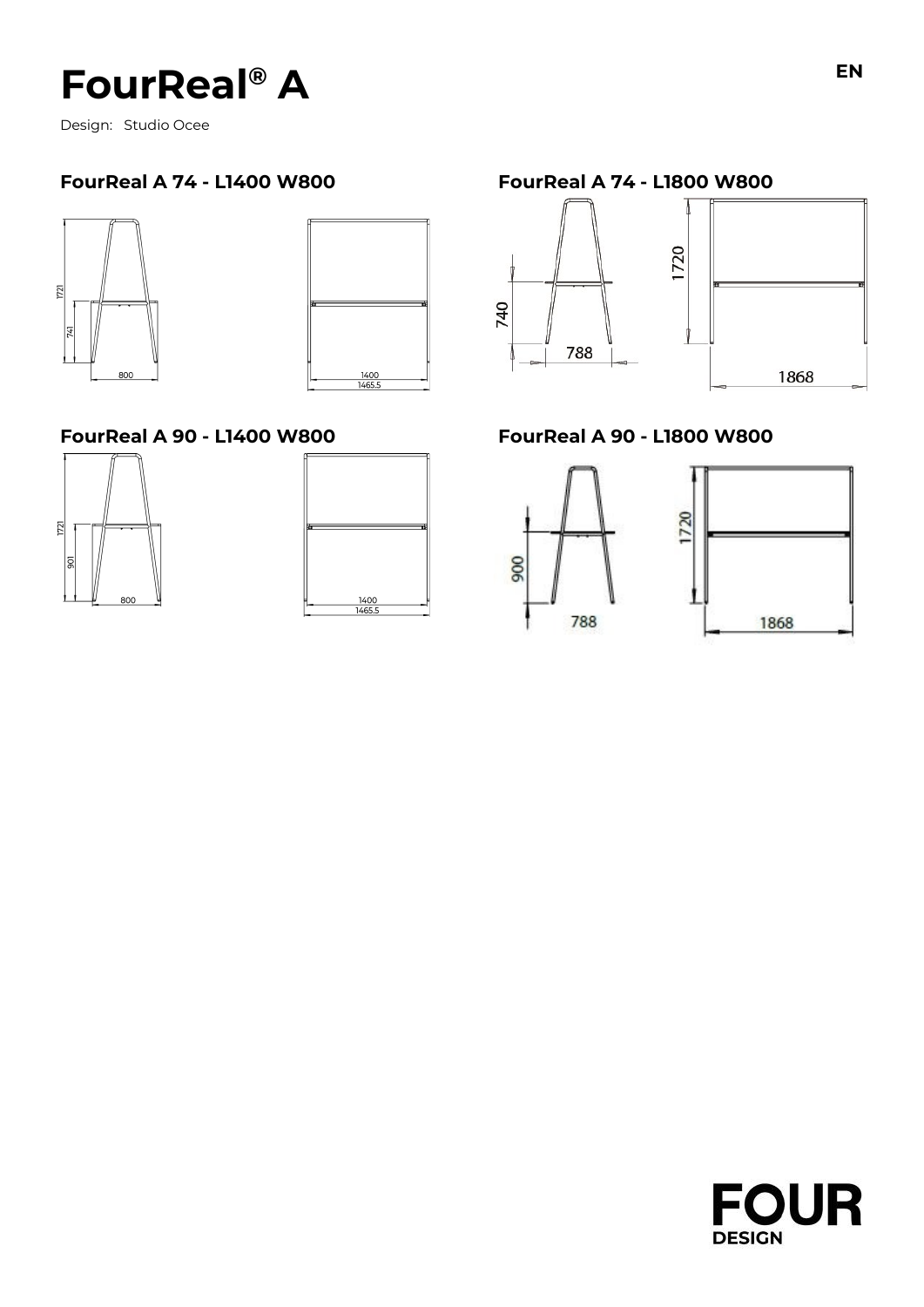# **FourReal® A**

Design: Studio Ocee

#### **FourReal A 74 - L1400 W800 FourReal A 74 - L1800 W800**





#### **FourReal A 90 - L1400 W800 FourReal A 90 - L1800 W800**



| 1400 |        |
|------|--------|
|      |        |
|      | 1465.5 |